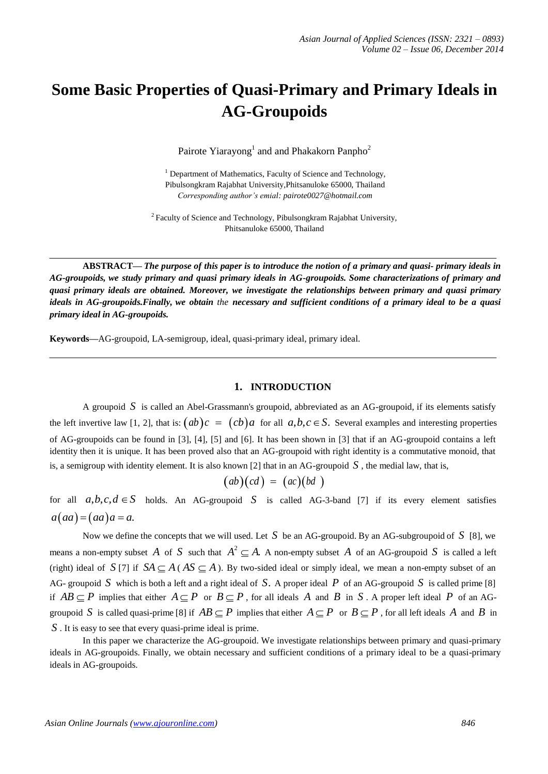# **Some Basic Properties of Quasi-Primary and Primary Ideals in AG-Groupoids**

Pairote Yiarayong<sup>1</sup> and and Phakakorn Panpho<sup>2</sup>

<sup>1</sup> Department of Mathematics, Faculty of Science and Technology, Pibulsongkram Rajabhat University,Phitsanuloke 65000, Thailand *Corresponding author's emial: [pairote0027@hotmail.com](mailto:pairote0027@hotmail.com)*

<sup>2</sup> Faculty of Science and Technology, Pibulsongkram Rajabhat University, Phitsanuloke 65000, Thailand

ABSTRACT— The purpose of this paper is to introduce the notion of a primary and quasi-primary ideals in *AG-groupoids, we study primary and quasi primary ideals in AG-groupoids. Some characterizations of primary and quasi primary ideals are obtained. Moreover, we investigate the relationships between primary and quasi primary*  ideals in AG-groupoids. Finally, we obtain the necessary and sufficient conditions of a primary ideal to be a quasi *primary ideal in AG-groupoids.*

**Keywords—**AG-groupoid, LA-semigroup, ideal, quasi-primary ideal, primary ideal.

#### **1. INTRODUCTION**

A groupoid *S* is called an Abel-Grassmann's groupoid, abbreviated as an AG-groupoid, if its elements satisfy the left invertive law [1, 2], that is:  $(ab)c = (cb)a$  for all  $a,b,c \in S$ . Several examples and interesting properties of AG-groupoids can be found in [3], [4], [5] and [6]. It has been shown in [3] that if an AG-groupoid contains a left identity then it is unique. It has been proved also that an AG-groupoid with right identity is a commutative monoid, that is, a semigroup with identity element. It is also known [2] that in an AG-groupoid  $S$ , the medial law, that is,

$$
(ab)(cd) = (ac)(bd)
$$

for all  $a,b,c,d \in S$  holds. An AG-groupoid *S* is called AG-3-band [7] if its every element satisfies  $a(aa) = (aa)a = a.$ 

Now we define the concepts that we will used. Let *S* be an AG-groupoid. By an AG-subgroupoid of *S* [8], we means a non-empty subset *A* of *S* such that  $A^2 \subseteq A$ . A non-empty subset *A* of an AG-groupoid *S* is called a left (right) ideal of *S* [7] if  $SA \subset A$  ( $AS \subset A$ ). By two-sided ideal or simply ideal, we mean a non-empty subset of an AG- groupoid *S* which is both a left and a right ideal of *S*. A proper ideal *P* of an AG-groupoid *S* is called prime [8] if  $AB \subseteq P$  implies that either  $A \subseteq P$  or  $B \subseteq P$ , for all ideals *A* and *B* in *S*. A proper left ideal *P* of an AGgroupoid *S* is called quasi-prime [8] if  $AB \subseteq P$  implies that either  $A \subseteq P$  or  $B \subseteq P$ , for all left ideals  $A$  and  $B$  in *S* . It is easy to see that every quasi-prime ideal is prime.

In this paper we characterize the AG-groupoid. We investigate relationships between primary and quasi-primary ideals in AG-groupoids. Finally, we obtain necessary and sufficient conditions of a primary ideal to be a quasi-primary ideals in AG-groupoids.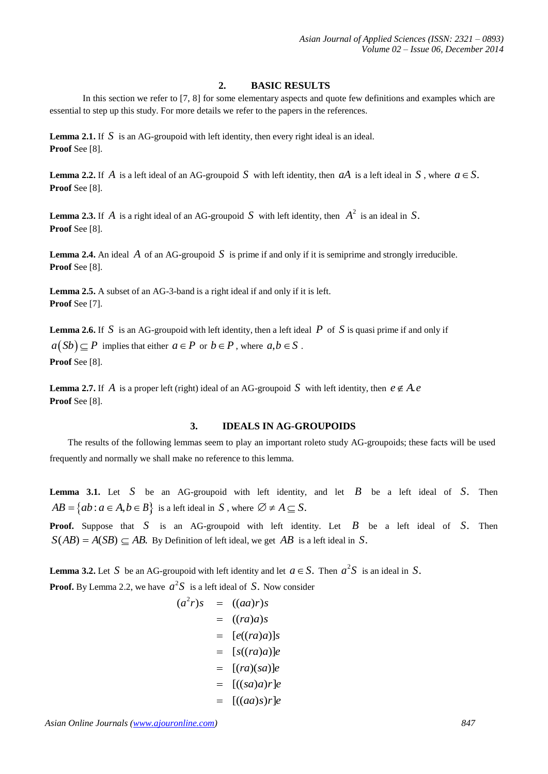### **2. BASIC RESULTS**

In this section we refer to [7, 8] for some elementary aspects and quote few definitions and examples which are essential to step up this study. For more details we refer to the papers in the references.

**Lemma 2.1.** If *S* is an AG-groupoid with left identity, then every right ideal is an ideal. **Proof** See [8].

**Lemma 2.2.** If *A* is a left ideal of an AG-groupoid *S* with left identity, then *aA* is a left ideal in *S*, where  $a \in S$ . **Proof** See [8].

**Lemma 2.3.** If *A* is a right ideal of an AG-groupoid *S* with left identity, then  $A^2$  is an ideal in *S*. **Proof** See [8].

**Lemma 2.4.** An ideal *A* of an AG-groupoid *S* is prime if and only if it is semiprime and strongly irreducible. **Proof** See [8].

**Lemma 2.5.** A subset of an AG-3-band is a right ideal if and only if it is left. **Proof** See [7].

**Lemma 2.6.** If *S* is an AG-groupoid with left identity, then a left ideal *P* of *S* is quasi prime if and only if  $a(Sb) \subseteq P$  implies that either  $a \in P$  or  $b \in P$ , where  $a, b \in S$ . **Proof** See [8].

**Lemma 2.7.** If *A* is a proper left (right) ideal of an AG-groupoid *S* with left identity, then  $e \notin A$ . **Proof** See [8].

## **3. IDEALS IN AG-GROUPOIDS**

The results of the following lemmas seem to play an important roleto study AG-groupoids; these facts will be used frequently and normally we shall make no reference to this lemma.

**Lemma 3.1.** Let *S* be an AG-groupoid with left identity, and let *B* be a left ideal of *S*. Then  $AB = \{ab : a \in A, b \in B\}$  is a left ideal in *S*, where  $\emptyset \neq A \subset S$ .

**Proof.** Suppose that *S* is an AG-groupoid with left identity. Let *B* be a left ideal of *S*. Then  $S(AB) = A(SB) \subseteq AB$ . By Definition of left ideal, we get *AB* is a left ideal in *S*.

**Lemma** 3.2. Let S be an AG-groupoid with left identity and let  $a \in S$ . Then  $a^2S$  is an ideal in S.

**Proof.** By Lemma 2.2, we have  $a^2S$  is a left ideal of *S*. Now consider

$$
(a2r)s = ((aa)r)s
$$
  
\n
$$
= ((ra)a)s
$$
  
\n
$$
= [e((ra)a)]s
$$
  
\n
$$
= [s((ra)a)]e
$$
  
\n
$$
= [(ra)(sa)r]e
$$
  
\n
$$
= [((aa)s)r]e
$$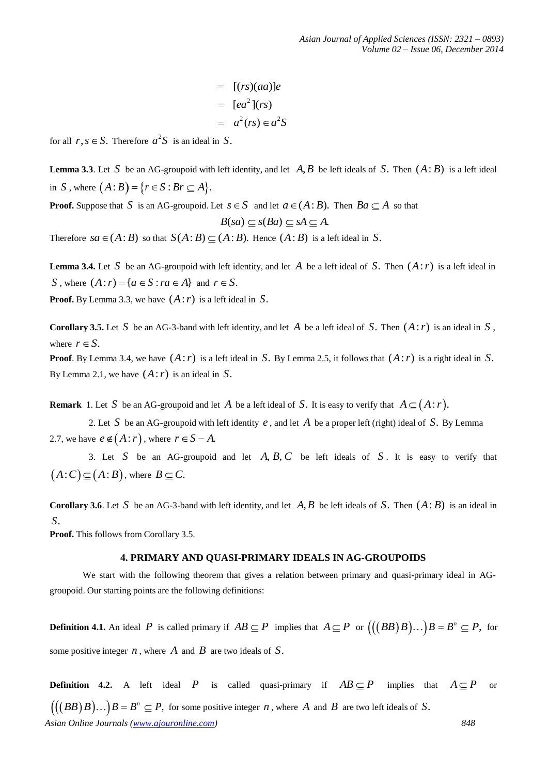$$
= [(rs)(aa)]e
$$
  

$$
= [ea2](rs)
$$
  

$$
= a2(rs) \in a2S
$$

for all  $r, s \in S$ . Therefore  $a^2S$  is an ideal in *S*.

**Lemma** 3.3. Let S be an AG-groupoid with left identity, and let  $A, B$  be left ideals of S. Then  $(A:B)$  is a left ideal in *S*, where  $(A:B) = \{r \in S : Br \subseteq A\}.$ 

**Proof.** Suppose that *S* is an AG-groupoid. Let  $s \in S$  and let  $a \in (A : B)$ . Then  $Ba \subseteq A$  so that

$$
B(sa) \subseteq s(Ba) \subseteq sA \subseteq A.
$$

Therefore  $sa \in (A : B)$  so that  $S(A : B) \subset (A : B)$ . Hence  $(A : B)$  is a left ideal in *S*.

**Lemma 3.4.** Let S be an AG-groupoid with left identity, and let A be a left ideal of S. Then  $(A:r)$  is a left ideal in *S*, where  $(A:r) = \{a \in S : ra \in A\}$  and  $r \in S$ .

**Proof.** By Lemma 3.3, we have (*A*:*r*) is a left ideal in *S*.

**Corollary 3.5.** Let S be an AG-3-band with left identity, and let A be a left ideal of S. Then  $(A:r)$  is an ideal in S, where  $r \in S$ .

**Proof**. By Lemma 3.4, we have (*A*:*r*) is a left ideal in *S*. By Lemma 2.5, it follows that (*A*:*r*) is a right ideal in *S*. By Lemma 2.1, we have  $(A:r)$  is an ideal in S.

**Remark** 1. Let *S* be an AG-groupoid and let *A* be a left ideal of *S*. It is easy to verify that  $A \subseteq (A : r)$ .

2. Let *S* be an AG-groupoid with left identity *e* , and let *A* be a proper left (right) ideal of *S*. By Lemma 2.7, we have  $e \notin (A : r)$ , where  $r \in S - A$ .

3. Let S be an AG-groupoid and let  $A, B, C$  be left ideals of S. It is easy to verify that  $(A:C) \subseteq (A:B)$ , where  $B \subseteq C$ .

**Corollary 3.6**. Let S be an AG-3-band with left identity, and let  $A, B$  be left ideals of S. Then  $(A : B)$  is an ideal in *S*.

**Proof.** This follows from Corollary 3.5.

### **4. PRIMARY AND QUASI-PRIMARY IDEALS IN AG-GROUPOIDS**

We start with the following theorem that gives a relation between primary and quasi-primary ideal in AGgroupoid. Our starting points are the following definitions:

**Definition 4.1.** An ideal P is called primary if  $AB \subseteq P$  implies that  $A \subseteq P$  or  $\left(\left(\left(BB\right)B\right)...\right)B = B^n \subseteq P$ , for some positive integer *n* , where *A* and *B* are two ideals of *S*.

*Asian Online Journals (www.ajouronline.com) 848* **Definition 4.2.** A left ideal P is called quasi-primary if  $AB \subseteq P$  implies that  $A \subseteq P$  or  $\left(\left(\left(BB\right)B\right)...\right)B=B^{n}\subseteq P,$  for some positive integer *n*, where *A* and *B* are two left ideals of *S*.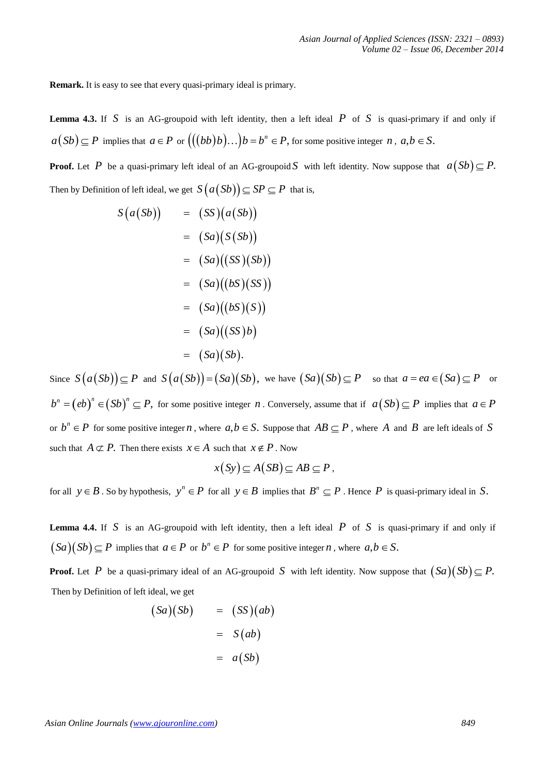**Remark.** It is easy to see that every quasi-primary ideal is primary.

**Lemma 4.3.** If *S* is an AG-groupoid with left identity, then a left ideal *P* of *S* is quasi-primary if and only if  $a(Sb) \subseteq P$  implies that  $a \in P$  or  $((\{bbb b)\b})\dots\b) = b^n \in P$ , for some positive integer *n*,  $a,b \in S$ .

**Proof.** Let P be a quasi-primary left ideal of an AG-groupoid S with left identity. Now suppose that  $a(Sb) \subseteq P$ . Then by Definition of left ideal, we get  $S(a(Sb)) \subseteq SP \subseteq P$  that is,

$$
S(a(Sb)) = (SS)(a(Sb))
$$
  
\n
$$
= (Sa)(S(Sb))
$$
  
\n
$$
= (Sa)((SS)(Sb))
$$
  
\n
$$
= (Sa)((bS)(SS))
$$
  
\n
$$
= (Sa)((bS)(S))
$$
  
\n
$$
= (Sa)((SS)b)
$$
  
\n
$$
= (Sa)(Sb).
$$

Since  $S(a(Sb)) \subseteq P$  and  $S(a(Sb)) = (Sa)(Sb)$ , we have  $(Sa)(Sb) \subseteq P$  so that  $a = ea \in (Sa) \subseteq P$  or  $b^n = (eb)^n \in (Sb)^n \subseteq P$ , for some positive integer *n*. Conversely, assume that if  $a(Sb) \subseteq P$  implies that  $a \in P$ or  $b^n \in P$  for some positive integer *n*, where  $a, b \in S$ . Suppose that  $AB \subseteq P$ , where *A* and *B* are left ideals of *S* such that  $A \not\subset P$ . Then there exists  $x \in A$  such that  $x \notin P$ . Now

$$
x(Sy) \subseteq A(SB) \subseteq AB \subseteq P ,
$$

for all  $y \in B$ . So by hypothesis,  $y^n \in P$  for all  $y \in B$  implies that  $B^n \subseteq P$ . Hence P is quasi-primary ideal in *S*.

**Lemma 4.4.** If *S* is an AG-groupoid with left identity, then a left ideal *P* of *S* is quasi-primary if and only if  $(Sa)(Sb) \subseteq P$  implies that  $a \in P$  or  $b^n \in P$  for some positive integer *n*, where  $a, b \in S$ .

**Proof.** Let *P* be a quasi-primary ideal of an AG-groupoid *S* with left identity. Now suppose that  $(Sa)(Sb) \subseteq P$ . Then by Definition of left ideal, we get

$$
(Sa)(Sb) = (SS)(ab)
$$

$$
= S(ab)
$$

$$
= a(Sb)
$$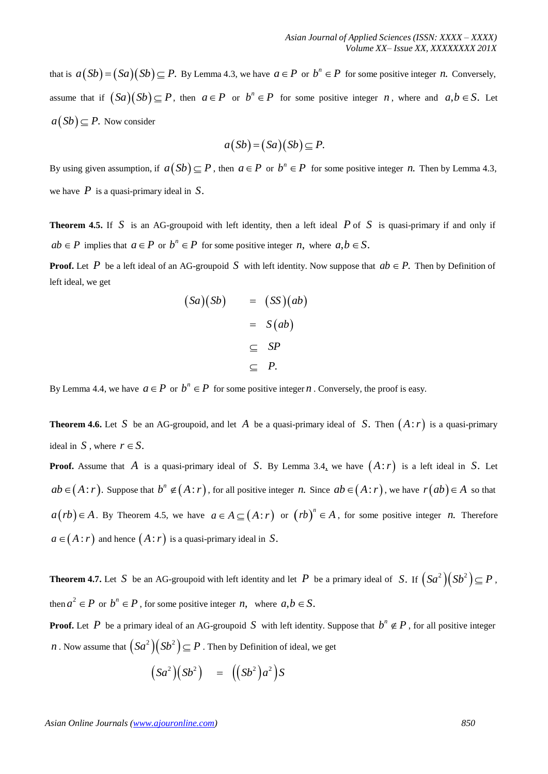that is  $a(Sb) = (Sa)(Sb) \subseteq P$ . By Lemma 4.3, we have  $a \in P$  or  $b^n \in P$  for some positive integer *n*. Conversely, assume that if  $(Sa)(Sb) \subseteq P$ , then  $a \in P$  or  $b^n \in P$  for some positive integer *n*, where and  $a, b \in S$ . Let  $a(Sb) \subseteq P$ . Now consider

$$
a(Sb) = (Sa)(Sb) \subseteq P.
$$

By using given assumption, if  $a(Sb) \subseteq P$ , then  $a \in P$  or  $b^n \in P$  for some positive integer *n*. Then by Lemma 4.3, we have *P* is a quasi-primary ideal in *S*.

**Theorem 4.5.** If *S* is an AG-groupoid with left identity, then a left ideal *P* of *S* is quasi-primary if and only if  $ab \in P$  implies that  $a \in P$  or  $b^n \in P$  for some positive integer *n*, where  $a, b \in S$ .

**Proof.** Let P be a left ideal of an AG-groupoid S with left identity. Now suppose that  $ab \in P$ . Then by Definition of left ideal, we get

$$
(Sa)(Sb) = (SS)(ab)
$$
  
= S(ab)  

$$
\subseteq SP
$$
  

$$
\subseteq P.
$$

By Lemma 4.4, we have  $a \in P$  or  $b^n \in P$  for some positive integer *n*. Conversely, the proof is easy.

**Theorem 4.6.** Let S be an AG-groupoid, and let A be a quasi-primary ideal of S. Then  $(A:r)$  is a quasi-primary ideal in *S*, where  $r \in S$ .

**Proof.** Assume that *A* is a quasi-primary ideal of *S*. By Lemma 3.4, we have *A*:*r* is a left ideal in *S*. Let  $ab \in (A : r)$ . Suppose that  $b^n \notin (A : r)$ , for all positive integer *n*. Since  $ab \in (A : r)$ , we have  $r(ab) \in A$  so that  $a(rb) \in A$ . By Theorem 4.5, we have  $a \in A \subseteq (A:r)$  or  $(rb)^n \in A$ , for some positive integer *n*. Therefore  $a \in (A : r)$  and hence  $(A : r)$  is a quasi-primary ideal in *S*.

**Theorem 4.7.** Let S be an AG-groupoid with left identity and let P be a primary ideal of S. If  $(Sa^2)(Sb^2) \subseteq P$ , then  $a^2 \in P$  or  $b^n \in P$ , for some positive integer *n*, where  $a, b \in S$ .

**Proof.** Let P be a primary ideal of an AG-groupoid S with left identity. Suppose that  $b^n \notin P$ , for all positive integer *n* . Now assume that  $\left(Sa^2\right)\left(Sb^2\right)\subseteq P$  . Then by Definition of ideal, we get

$$
(Sa^2)(Sb^2) = ((Sb^2)a^2)S
$$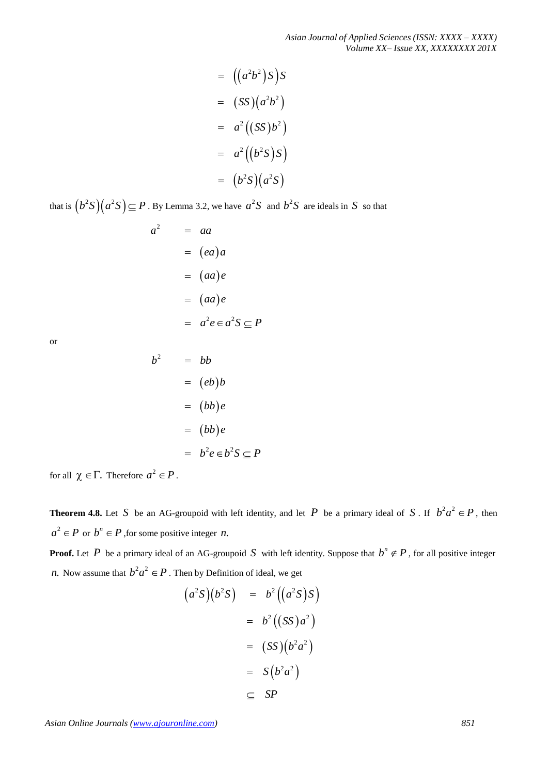*Asian Journal of Applied Sciences (ISSN: XXXX – XXXX) Volume XX– Issue XX, XXXXXXXX 201X*

$$
= ((a2b2)S)S
$$
  

$$
= (SS)(a2b2)
$$
  

$$
= a2((SS)b2)
$$
  

$$
= a2((b2S)S)
$$
  

$$
= (b2S)(a2S)
$$

that is  $(b^2S)(a^2S) \subseteq P$  . By Lemma 3.2, we have  $a^2S$  and  $b^2S$  are ideals in S so that

*a* 2  $= aa$  $=$   $(ea)a$  $= (aa)e$  $= (aa)e$  $= a^2 e \in a^2 S \subseteq P$ 

 $b^2$ 

or

$$
= bb
$$
  

$$
= (eb)b
$$
  

$$
= (bb)e
$$
  

$$
= (bb)e
$$
  

$$
= b2e \in b2S \subseteq
$$

for all  $\chi \in \Gamma$ . Therefore  $a^2 \in P$ .

**Theorem 4.8.** Let S be an AG-groupoid with left identity, and let P be a primary ideal of S. If  $b^2a^2 \in P$ , then  $a^2 \in P$  or  $b^n \in P$ , for some positive integer *n*.

*S P*

**Proof.** Let P be a primary ideal of an AG-groupoid S with left identity. Suppose that  $b^n \notin P$ , for all positive integer *n*. Now assume that  $b^2a^2 \in P$  . Then by Definition of ideal, we get

$$
(a2S)(b2S) = b2((a2S)S)
$$
  
= b<sup>2</sup>((SS)a<sup>2</sup>)  
= (SS)(b<sup>2</sup>a<sup>2</sup>)  
= S(b<sup>2</sup>a<sup>2</sup>)  

$$
\subseteq SP
$$

*Asian Online Journals (www.ajouronline.com) 851*